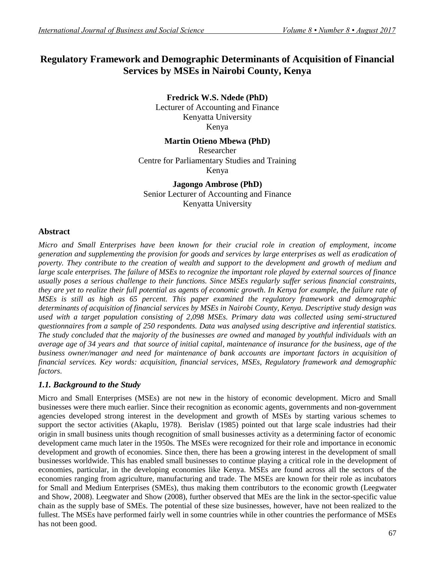# **Regulatory Framework and Demographic Determinants of Acquisition of Financial Services by MSEs in Nairobi County, Kenya**

**Fredrick W.S. Ndede (PhD)** Lecturer of Accounting and Finance Kenyatta University Kenya

## **Martin Otieno Mbewa (PhD)**

Researcher Centre for Parliamentary Studies and Training Kenya

**Jagongo Ambrose (PhD)** Senior Lecturer of Accounting and Finance Kenyatta University

## **Abstract**

*Micro and Small Enterprises have been known for their crucial role in creation of employment, income generation and supplementing the provision for goods and services by large enterprises as well as eradication of poverty. They contribute to the creation of wealth and support to the development and growth of medium and large scale enterprises. The failure of MSEs to recognize the important role played by external sources of finance usually poses a serious challenge to their functions. Since MSEs regularly suffer serious financial constraints, they are yet to realize their full potential as agents of economic growth. In Kenya for example, the failure rate of MSEs is still as high as 65 percent. This paper examined the regulatory framework and demographic determinants of acquisition of financial services by MSEs in Nairobi County, Kenya. Descriptive study design was used with a target population consisting of 2,098 MSEs. Primary data was collected using semi-structured questionnaires from a sample of 250 respondents. Data was analysed using descriptive and inferential statistics. The study concluded that the majority of the businesses are owned and managed by youthful individuals with an average age of 34 years and that source of initial capital, maintenance of insurance for the business, age of the business owner/manager and need for maintenance of bank accounts are important factors in acquisition of financial services. Key words: acquisition, financial services, MSEs, Regulatory framework and demographic factors.*

## *1.1. Background to the Study*

Micro and Small Enterprises (MSEs) are not new in the history of economic development. Micro and Small businesses were there much earlier. Since their recognition as economic agents, governments and non-government agencies developed strong interest in the development and growth of MSEs by starting various schemes to support the sector activities (Akaplu, 1978). Berislav (1985) pointed out that large scale industries had their origin in small business units though recognition of small businesses activity as a determining factor of economic development came much later in the 1950s. The MSEs were recognized for their role and importance in economic development and growth of economies. Since then, there has been a growing interest in the development of small businesses worldwide. This has enabled small businesses to continue playing a critical role in the development of economies, particular, in the developing economies like Kenya. MSEs are found across all the sectors of the economies ranging from agriculture, manufacturing and trade. The MSEs are known for their role as incubators for Small and Medium Enterprises (SMEs), thus making them contributors to the economic growth (Leegwater and Show, 2008). Leegwater and Show (2008), further observed that MEs are the link in the sector-specific value chain as the supply base of SMEs. The potential of these size businesses, however, have not been realized to the fullest. The MSEs have performed fairly well in some countries while in other countries the performance of MSEs has not been good.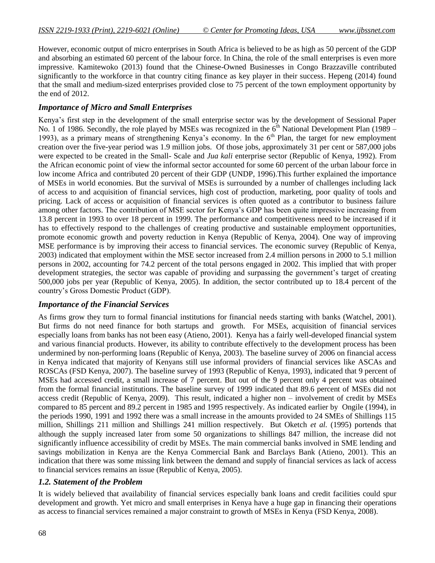However, economic output of micro enterprises in South Africa is believed to be as high as 50 percent of the GDP and absorbing an estimated 60 percent of the labour force. In China, the role of the small enterprises is even more impressive. Kamitewoko (2013) found that the Chinese-Owned Businesses in Congo Brazzaville contributed significantly to the workforce in that country citing finance as key player in their success. Hepeng (2014) found that the small and medium-sized enterprises provided close to 75 percent of the town employment opportunity by the end of 2012.

## *Importance of Micro and Small Enterprises*

Kenya's first step in the development of the small enterprise sector was by the development of Sessional Paper No. 1 of 1986. Secondly, the role played by MSEs was recognized in the  $6<sup>th</sup>$  National Development Plan (1989 – 1993), as a primary means of strengthening Kenya's economy. In the  $6<sup>th</sup>$  Plan, the target for new employment creation over the five-year period was 1.9 million jobs. Of those jobs, approximately 31 per cent or 587,000 jobs were expected to be created in the Small- Scale and *Jua kali* enterprise sector (Republic of Kenya, 1992). From the African economic point of view the informal sector accounted for some 60 percent of the urban labour force in low income Africa and contributed 20 percent of their GDP (UNDP, 1996).This further explained the importance of MSEs in world economies. But the survival of MSEs is surrounded by a number of challenges including lack of access to and acquisition of financial services, high cost of production, marketing, poor quality of tools and pricing. Lack of access or acquisition of financial services is often quoted as a contributor to business failure among other factors. The contribution of MSE sector for Kenya's GDP has been quite impressive increasing from 13.8 percent in 1993 to over 18 percent in 1999. The performance and competitiveness need to be increased if it has to effectively respond to the challenges of creating productive and sustainable employment opportunities, promote economic growth and poverty reduction in Kenya (Republic of Kenya, 2004). One way of improving MSE performance is by improving their access to financial services. The economic survey (Republic of Kenya, 2003) indicated that employment within the MSE sector increased from 2.4 million persons in 2000 to 5.1 million persons in 2002, accounting for 74.2 percent of the total persons engaged in 2002. This implied that with proper development strategies, the sector was capable of providing and surpassing the government's target of creating 500,000 jobs per year (Republic of Kenya, 2005). In addition, the sector contributed up to 18.4 percent of the country's Gross Domestic Product (GDP).

## *Importance of the Financial Services*

As firms grow they turn to formal financial institutions for financial needs starting with banks (Watchel, 2001). But firms do not need finance for both startups and growth. For MSEs, acquisition of financial services especially loans from banks has not been easy (Atieno, 2001). Kenya has a fairly well-developed financial system and various financial products. However, its ability to contribute effectively to the development process has been undermined by non-performing loans (Republic of Kenya, 2003). The baseline survey of 2006 on financial access in Kenya indicated that majority of Kenyans still use informal providers of financial services like ASCAs and ROSCAs (FSD Kenya, 2007). The baseline survey of 1993 (Republic of Kenya, 1993), indicated that 9 percent of MSEs had accessed credit, a small increase of 7 percent. But out of the 9 percent only 4 percent was obtained from the formal financial institutions. The baseline survey of 1999 indicated that 89.6 percent of MSEs did not access credit (Republic of Kenya, 2009). This result, indicated a higher non – involvement of credit by MSEs compared to 85 percent and 89.2 percent in 1985 and 1995 respectively. As indicated earlier by Ongile (1994), in the periods 1990, 1991 and 1992 there was a small increase in the amounts provided to 24 SMEs of Shillings 115 million, Shillings 211 million and Shillings 241 million respectively. But Oketch *et al.* (1995) portends that although the supply increased later from some 50 organizations to shillings 847 million, the increase did not significantly influence accessibility of credit by MSEs. The main commercial banks involved in SME lending and savings mobilization in Kenya are the Kenya Commercial Bank and Barclays Bank (Atieno, 2001). This an indication that there was some missing link between the demand and supply of financial services as lack of access to financial services remains an issue (Republic of Kenya, 2005).

## *1.2. Statement of the Problem*

It is widely believed that availability of financial services especially bank loans and credit facilities could spur development and growth. Yet micro and small enterprises in Kenya have a huge gap in financing their operations as access to financial services remained a major constraint to growth of MSEs in Kenya (FSD Kenya, 2008).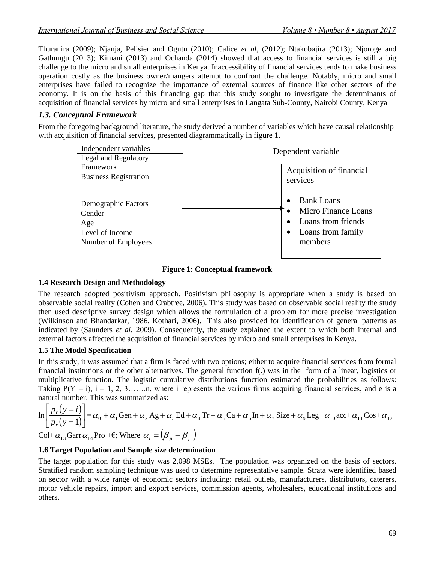Thuranira (2009); Njanja, Pelisier and Ogutu (2010); Calice *et al,* (2012); Ntakobajira (2013); Njoroge and Gathungu (2013); Kimani (2013) and Ochanda (2014) showed that access to financial services is still a big challenge to the micro and small enterprises in Kenya. Inaccessibility of financial services tends to make business operation costly as the business owner/mangers attempt to confront the challenge. Notably, micro and small enterprises have failed to recognize the importance of external sources of finance like other sectors of the economy. It is on the basis of this financing gap that this study sought to investigate the determinants of acquisition of financial services by micro and small enterprises in Langata Sub-County, Nairobi County, Kenya

#### *1.3. Conceptual Framework*

From the foregoing background literature, the study derived a number of variables which have causal relationship with acquisition of financial services, presented diagrammatically in figure 1.



**Figure 1: Conceptual framework**

#### **1.4 Research Design and Methodology**

The research adopted positivism approach. Positivism philosophy is appropriate when a study is based on observable social reality (Cohen and Crabtree, 2006). This study was based on observable social reality the study then used descriptive survey design which allows the formulation of a problem for more precise investigation (Wilkinson and Bhandarkar, 1986, Kothari, 2006). This also provided for identification of general patterns as indicated by (Saunders *et al,* 2009). Consequently, the study explained the extent to which both internal and external factors affected the acquisition of financial services by micro and small enterprises in Kenya.

## **1.5 The Model Specification**

In this study, it was assumed that a firm is faced with two options; either to acquire financial services from formal financial institutions or the other alternatives. The general function f(.) was in the form of a linear, logistics or multiplicative function. The logistic cumulative distributions function estimated the probabilities as follows: Taking  $P(Y = i)$ ,  $i = 1, 2, 3, \ldots, n$ , where i represents the various firms acquiring financial services, and e is a natural number. This was summarized as:

$$
\ln\left[\frac{p_r(y=i)}{p_r(y=1)}\right] = \alpha_0 + \alpha_1 \text{Gen} + \alpha_2 \text{ Ag} + \alpha_3 \text{ Ed} + \alpha_4 \text{ Tr} + \alpha_5 \text{ Ca} + \alpha_6 \text{ In} + \alpha_7 \text{ Size} + \alpha_9 \text{ Leg} + \alpha_{10} \text{ acc} + \alpha_{11} \text{Cos} + \alpha_{12}
$$

Col+  $\alpha_{13}$  Garr  $\alpha_{14}$  Pro +  $\varepsilon$ ; Where  $\alpha_i = (\beta_{ji} - \beta_{j1})$ 

#### **1.6 Target Population and Sample size determination**

The target population for this study was 2,098 MSEs. The population was organized on the basis of sectors. Stratified random sampling technique was used to determine representative sample. Strata were identified based on sector with a wide range of economic sectors including: retail outlets, manufacturers, distributors, caterers, motor vehicle repairs, import and export services, commission agents, wholesalers, educational institutions and others.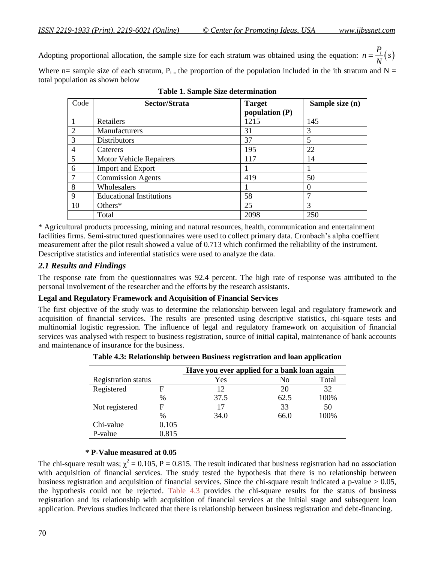Adopting proportional allocation, the sample size for each stratum was obtained using the equation:  $n = \frac{P_i}{N}(s)$ *N*  $=\frac{I_i}{I_i}(s)$ 

Where n= sample size of each stratum,  $P_i$  = the proportion of the population included in the ith stratum and N = total population as shown below

| Code           | Sector/Strata                   | <b>Target</b><br>population $(P)$ | Sample size (n) |
|----------------|---------------------------------|-----------------------------------|-----------------|
|                |                                 |                                   |                 |
|                | Retailers                       | 1215                              | 145             |
| $\overline{2}$ | Manufacturers                   | 31                                | 3               |
| 3              | <b>Distributors</b>             | 37                                | 5               |
| 4              | Caterers                        | 195                               | 22              |
| 5              | <b>Motor Vehicle Repairers</b>  | 117                               | 14              |
| 6              | <b>Import and Export</b>        |                                   |                 |
| $\mathcal{I}$  | <b>Commission Agents</b>        | 419                               | 50              |
| 8              | Wholesalers                     |                                   |                 |
| 9              | <b>Educational Institutions</b> | 58                                |                 |
| 10             | Others*                         | 25                                | 3               |
|                | Total                           | 2098                              | 250             |

**Table 1. Sample Size determination**

\* Agricultural products processing, mining and natural resources, health, communication and entertainment facilities firms. Semi-structured questionnaires were used to collect primary data. Cronbach's alpha coeffient measurement after the pilot result showed a value of 0.713 which confirmed the reliability of the instrument. Descriptive statistics and inferential statistics were used to analyze the data.

## *2.1 Results and Findings*

The response rate from the questionnaires was 92.4 percent. The high rate of response was attributed to the personal involvement of the researcher and the efforts by the research assistants.

#### **Legal and Regulatory Framework and Acquisition of Financial Services**

The first objective of the study was to determine the relationship between legal and regulatory framework and acquisition of financial services. The results are presented using descriptive statistics, chi-square tests and multinomial logistic regression. The influence of legal and regulatory framework on acquisition of financial services was analysed with respect to business registration, source of initial capital, maintenance of bank accounts and maintenance of insurance for the business.

|                            |       | Have you ever applied for a bank loan again |      |       |
|----------------------------|-------|---------------------------------------------|------|-------|
| <b>Registration status</b> |       | Yes                                         | No   | Total |
| Registered                 | F     | 12                                          | 20   | 32    |
|                            | %     | 37.5                                        | 62.5 | 100%  |
| Not registered             | F     | 17                                          | 33   | 50    |
|                            | %     | 34.0                                        | 66.0 | 100%  |
| Chi-value                  | 0.105 |                                             |      |       |
| P-value                    | 0.815 |                                             |      |       |

**Table 4.3: Relationship between Business registration and loan application**

#### **\* P-Value measured at 0.05**

The chi-square result was;  $\chi^2 = 0.105$ , P = 0.815. The result indicated that business registration had no association with acquisition of financial services. The study tested the hypothesis that there is no relationship between business registration and acquisition of financial services. Since the chi-square result indicated a p-value  $> 0.05$ , the hypothesis could not be rejected. Table 4.3 provides the chi-square results for the status of business registration and its relationship with acquisition of financial services at the initial stage and subsequent loan application. Previous studies indicated that there is relationship between business registration and debt-financing.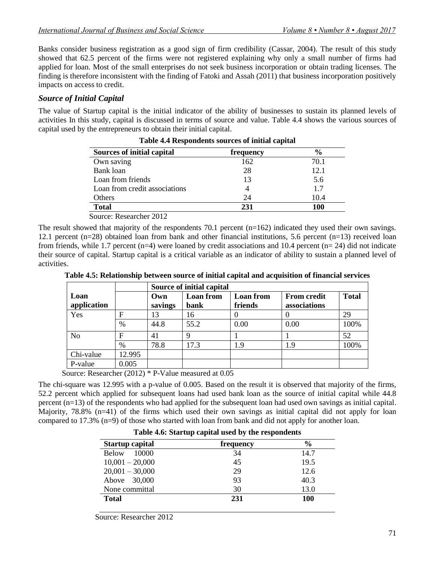Banks consider business registration as a good sign of firm credibility (Cassar, 2004). The result of this study showed that 62.5 percent of the firms were not registered explaining why only a small number of firms had applied for loan. Most of the small enterprises do not seek business incorporation or obtain trading licenses. The finding is therefore inconsistent with the finding of Fatoki and Assah (2011) that business incorporation positively impacts on access to credit.

## *Source of Initial Capital*

The value of Startup capital is the initial indicator of the ability of businesses to sustain its planned levels of activities In this study, capital is discussed in terms of source and value. Table 4.4 shows the various sources of capital used by the entrepreneurs to obtain their initial capital.

| <b>Sources of initial capital</b> | frequency | $\%$ |
|-----------------------------------|-----------|------|
| Own saving                        | 162       | 70.1 |
| Bank loan                         | 28        | 12.1 |
| Loan from friends                 | 13        | 5.6  |
| Loan from credit associations     |           | 1.7  |
| Others                            | 24        | 10.4 |
| <b>Total</b>                      | 231       | 100  |

| Table 4.4 Respondents sources of initial capital |  |  |
|--------------------------------------------------|--|--|
|--------------------------------------------------|--|--|

Source: Researcher 2012

The result showed that majority of the respondents 70.1 percent  $(n=162)$  indicated they used their own savings. 12.1 percent (n=28) obtained loan from bank and other financial institutions, 5.6 percent (n=13) received loan from friends, while 1.7 percent  $(n=4)$  were loaned by credit associations and 10.4 percent  $(n=24)$  did not indicate their source of capital. Startup capital is a critical variable as an indicator of ability to sustain a planned level of activities.

|  | Table 4.5: Relationship between source of initial capital and acquisition of financial services |  |  |  |  |
|--|-------------------------------------------------------------------------------------------------|--|--|--|--|
|--|-------------------------------------------------------------------------------------------------|--|--|--|--|

|                     |               | Source of initial capital |                          |                      |                                    |              |
|---------------------|---------------|---------------------------|--------------------------|----------------------|------------------------------------|--------------|
| Loan<br>application |               | Own<br>savings            | <b>Loan</b> from<br>bank | Loan from<br>friends | <b>From credit</b><br>associations | <b>Total</b> |
| Yes                 | F             | 13                        | 16                       |                      |                                    | 29           |
|                     | $\frac{0}{0}$ | 44.8                      | 55.2                     | 0.00                 | 0.00                               | 100%         |
| N <sub>o</sub>      | F             | 41                        |                          |                      |                                    | 52           |
|                     | $\%$          | 78.8                      | 17.3                     | 1.9                  | 1.9                                | 100%         |
| Chi-value           | 12.995        |                           |                          |                      |                                    |              |
| P-value             | 0.005         |                           |                          |                      |                                    |              |
| $\sqrt{ }$          |               | $(0.010)$ $\omega$ D II 1 | $1 \cdot \alpha$         |                      |                                    |              |

Source: Researcher (2012) \* P-Value measured at 0.05

The chi-square was 12.995 with a p-value of 0.005. Based on the result it is observed that majority of the firms, 52.2 percent which applied for subsequent loans had used bank loan as the source of initial capital while 44.8 percent (n=13) of the respondents who had applied for the subsequent loan had used own savings as initial capital. Majority, 78.8% (n=41) of the firms which used their own savings as initial capital did not apply for loan compared to 17.3% (n=9) of those who started with loan from bank and did not apply for another loan.

|                        | Table 4.6: Startup capital used by the respondents |               |
|------------------------|----------------------------------------------------|---------------|
| <b>Startup capital</b> | frequency                                          | $\frac{6}{6}$ |
| 10000<br><b>Below</b>  | 34                                                 | 14.7          |
| $10,001 - 20,000$      | 45                                                 | 19.5          |
| $20,001 - 30,000$      | 29                                                 | 12.6          |
| Above 30,000           | 93                                                 | 40.3          |
| None committal         | 30                                                 | 13.0          |
| <b>Total</b>           | 231                                                | 100           |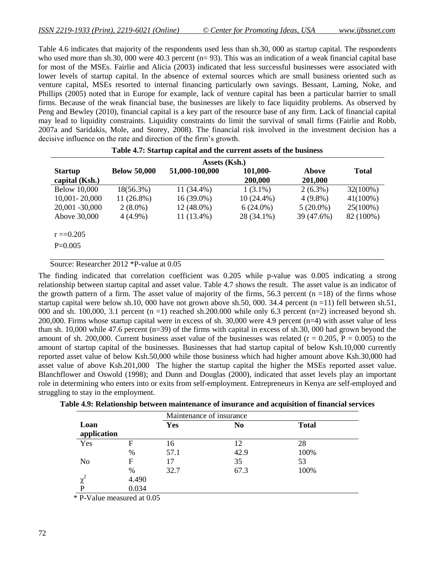Table 4.6 indicates that majority of the respondents used less than sh.30, 000 as startup capital. The respondents who used more than sh.30, 000 were 40.3 percent ( $n= 93$ ). This was an indication of a weak financial capital base for most of the MSEs. Fairlie and Alicia (2003) indicated that less successful businesses were associated with lower levels of startup capital. In the absence of external sources which are small business oriented such as venture capital, MSEs resorted to internal financing particularly own savings. Bessant, Laming, Noke, and Phillips (2005) noted that in Europe for example, lack of venture capital has been a particular barrier to small firms. Because of the weak financial base, the businesses are likely to face liquidity problems. As observed by Peng and Bewley (2010), financial capital is a key part of the resource base of any firm. Lack of financial capital may lead to liquidity constraints. Liquidity constraints do limit the survival of small firms (Fairlie and Robb, 2007a and Saridakis, Mole, and Storey, 2008). The financial risk involved in the investment decision has a decisive influence on the rate and direction of the firm's growth.

|                     |                     | Assets (Ksh.)  |              |             |              |
|---------------------|---------------------|----------------|--------------|-------------|--------------|
| <b>Startup</b>      | <b>Below 50,000</b> | 51,000-100,000 | 101,000-     | Above       | <b>Total</b> |
| capital (Ksh.)      |                     |                | 200,000      | 201,000     |              |
| <b>Below 10,000</b> | $18(56.3\%)$        | 11 (34.4%)     | $1(3.1\%)$   | $2(6.3\%)$  | 32(100%)     |
| 10,001 - 20,000     | $11(26.8\%)$        | 16 (39.0%)     | $10(24.4\%)$ | $4(9.8\%)$  | $41(100\%)$  |
| 20,001 -30,000      | $2(8.0\%)$          | 12 (48.0%)     | $6(24.0\%)$  | $5(20.0\%)$ | $25(100\%)$  |
| Above 30,000        | $4(4.9\%)$          | 11 (13.4%)     | 28 (34.1%)   | 39 (47.6%)  | 82 (100%)    |
|                     |                     |                |              |             |              |
| $r = 0.205$         |                     |                |              |             |              |
| $P=0.005$           |                     |                |              |             |              |
|                     |                     |                |              |             |              |

|  |  |  | Table 4.7: Startup capital and the current assets of the business |
|--|--|--|-------------------------------------------------------------------|
|--|--|--|-------------------------------------------------------------------|

Source: Researcher 2012 \*P-value at 0.05

The finding indicated that correlation coefficient was 0.205 while p-value was 0.005 indicating a strong relationship between startup capital and asset value. Table 4.7 shows the result. The asset value is an indicator of the growth pattern of a firm. The asset value of majority of the firms, 56.3 percent  $(n = 18)$  of the firms whose startup capital were below sh.10, 000 have not grown above sh.50, 000. 34.4 percent (n =11) fell between sh.51, 000 and sh. 100,000, 3.1 percent (n =1) reached sh.200.000 while only 6.3 percent (n=2) increased beyond sh. 200,000. Firms whose startup capital were in excess of sh. 30,000 were 4.9 percent (n=4) with asset value of less than sh. 10,000 while 47.6 percent (n=39) of the firms with capital in excess of sh.30, 000 had grown beyond the amount of sh. 200,000. Current business asset value of the businesses was related ( $r = 0.205$ ,  $P = 0.005$ ) to the amount of startup capital of the businesses. Businesses that had startup capital of below Ksh.10,000 currently reported asset value of below Ksh.50,000 while those business which had higher amount above Ksh.30,000 had asset value of above Ksh.201,000 The higher the startup capital the higher the MSEs reported asset value. Blanchflower and Oswold (1998); and Dunn and Douglas (2000), indicated that asset levels play an important role in determining who enters into or exits from self-employment. Entrepreneurs in Kenya are self-employed and struggling to stay in the employment.

| Table 4.9: Relationship between maintenance of insurance and acquisition of financial services |  |  |  |
|------------------------------------------------------------------------------------------------|--|--|--|
|------------------------------------------------------------------------------------------------|--|--|--|

|                     |       |            | Maintenance of insurance |              |
|---------------------|-------|------------|--------------------------|--------------|
| Loan<br>application |       | <b>Yes</b> | N <sub>0</sub>           | <b>Total</b> |
| Yes                 | F     | 16         | 12                       | 28           |
|                     | %     | 57.1       | 42.9                     | 100%         |
| N <sub>0</sub>      | F     | 17         | 35                       | 53           |
|                     | %     | 32.7       | 67.3                     | 100%         |
| χ                   | 4.490 |            |                          |              |
| P                   | 0.034 |            |                          |              |

\* P-Value measured at 0.05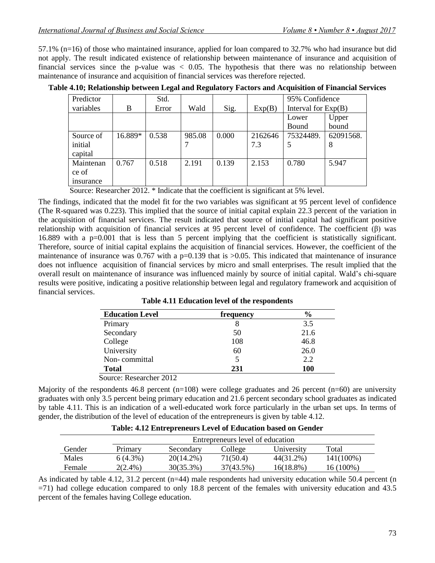57.1% (n=16) of those who maintained insurance, applied for loan compared to 32.7% who had insurance but did not apply. The result indicated existence of relationship between maintenance of insurance and acquisition of financial services since the p-value was  $< 0.05$ . The hypothesis that there was no relationship between maintenance of insurance and acquisition of financial services was therefore rejected.

| Predictor       |         | Std.  |        |       |         | 95% Confidence        |           |
|-----------------|---------|-------|--------|-------|---------|-----------------------|-----------|
| variables       | B       | Error | Wald   | Sig.  | Exp(B)  | Interval for $Exp(B)$ |           |
|                 |         |       |        |       |         | Lower                 | Upper     |
|                 |         |       |        |       |         | <b>Bound</b>          | bound     |
| Source of       | 16.889* | 0.538 | 985.08 | 0.000 | 2162646 | 75324489.             | 62091568. |
| initial         |         |       |        |       | 7.3     |                       | 8         |
| capital         |         |       |        |       |         |                       |           |
| Maintenan       | 0.767   | 0.518 | 2.191  | 0.139 | 2.153   | 0.780                 | 5.947     |
| ce of           |         |       |        |       |         |                       |           |
| <i>nsurance</i> |         |       |        |       |         |                       |           |

**Table 4.10; Relationship between Legal and Regulatory Factors and Acquisition of Financial Services**

Source: Researcher 2012. \* Indicate that the coefficient is significant at 5% level.

The findings, indicated that the model fit for the two variables was significant at 95 percent level of confidence (The R-squared was 0.223). This implied that the source of initial capital explain 22.3 percent of the variation in the acquisition of financial services. The result indicated that source of initial capital had significant positive relationship with acquisition of financial services at 95 percent level of confidence. The coefficient (β) was 16.889 with a p=0.001 that is less than 5 percent implying that the coefficient is statistically significant. Therefore, source of initial capital explains the acquisition of financial services. However, the coefficient of the maintenance of insurance was  $0.767$  with a p=0.139 that is  $>0.05$ . This indicated that maintenance of insurance does not influence acquisition of financial services by micro and small enterprises. The result implied that the overall result on maintenance of insurance was influenced mainly by source of initial capital. Wald's chi-square results were positive, indicating a positive relationship between legal and regulatory framework and acquisition of financial services.

| <b>Education Level</b> | frequency | $\frac{6}{6}$ |
|------------------------|-----------|---------------|
| Primary                | 8         | 3.5           |
| Secondary              | 50        | 21.6          |
| College                | 108       | 46.8          |
| University             | 60        | 26.0          |
| Non-committal          | 5         | 2.2           |
| <b>Total</b>           | 231       | 100           |

**Table 4.11 Education level of the respondents**

Source: Researcher 2012

Majority of the respondents 46.8 percent (n=108) were college graduates and 26 percent (n=60) are university graduates with only 3.5 percent being primary education and 21.6 percent secondary school graduates as indicated by table 4.11. This is an indication of a well-educated work force particularly in the urban set ups. In terms of gender, the distribution of the level of education of the entrepreneurs is given by table 4.12.

|        |            | Entrepreneurs level of education |           |            |           |  |  |  |
|--------|------------|----------------------------------|-----------|------------|-----------|--|--|--|
| Gender | Primary    | Secondary                        | College   | University | Total     |  |  |  |
| Males  | $6(4.3\%)$ | $20(14.2\%)$                     | 71(50.4)  | 44(31.2%)  | 141(100%) |  |  |  |
| Female | $2(2.4\%)$ | $30(35.3\%)$                     | 37(43.5%) | 16(18.8%)  | 16 (100%) |  |  |  |

**Table: 4.12 Entrepreneurs Level of Education based on Gender**

As indicated by table 4.12, 31.2 percent ( $n=44$ ) male respondents had university education while 50.4 percent ( $n$ ) =71) had college education compared to only 18.8 percent of the females with university education and 43.5 percent of the females having College education.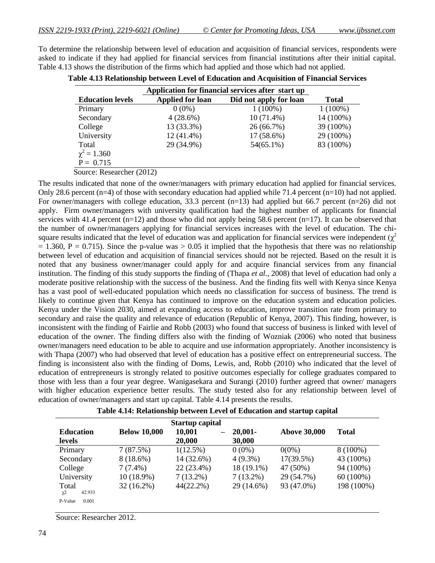To determine the relationship between level of education and acquisition of financial services, respondents were asked to indicate if they had applied for financial services from financial institutions after their initial capital. Table 4.13 shows the distribution of the firms which had applied and those which had not applied.

| Application for financial services after start up |                         |                        |              |
|---------------------------------------------------|-------------------------|------------------------|--------------|
| <b>Education levels</b>                           | <b>Applied for loan</b> | Did not apply for loan | <b>Total</b> |
| Primary                                           | $0(0\%)$                | $1(100\%)$             | $1(100\%)$   |
| Secondary                                         | 4(28.6%)                | $10(71.4\%)$           | 14 (100%)    |
| College                                           | 13 (33.3%)              | 26 (66.7%)             | 39 (100%)    |
| University                                        | $12(41.4\%)$            | 17 (58.6%)             | 29 (100%)    |
| Total                                             | 29 (34.9%)              | $54(65.1\%)$           | 83 (100%)    |
| $\chi^2 = 1.360$                                  |                         |                        |              |
| $P = 0.715$                                       |                         |                        |              |
| Source: Researcher (2012)                         |                         |                        |              |

|  |  | Table 4.13 Relationship between Level of Education and Acquisition of Financial Services |
|--|--|------------------------------------------------------------------------------------------|
|--|--|------------------------------------------------------------------------------------------|

The results indicated that none of the owner/managers with primary education had applied for financial services. Only 28.6 percent (n=4) of those with secondary education had applied while 71.4 percent (n=10) had not applied. For owner/managers with college education, 33.3 percent (n=13) had applied but 66.7 percent (n=26) did not apply. Firm owner/managers with university qualification had the highest number of applicants for financial services with 41.4 percent (n=12) and those who did not apply being 58.6 percent (n=17). It can be observed that the number of owner/managers applying for financial services increases with the level of education. The chisquare results indicated that the level of education was and application for financial services were independent  $(\chi^2)$  $= 1.360$ , P = 0.715). Since the p-value was  $> 0.05$  it implied that the hypothesis that there was no relationship between level of education and acquisition of financial services should not be rejected. Based on the result it is noted that any business owner/manager could apply for and acquire financial services from any financial institution. The finding of this study supports the finding of (Thapa *et al.,* 2008) that level of education had only a moderate positive relationship with the success of the business. And the finding fits well with Kenya since Kenya has a vast pool of well-educated population which needs no classification for success of business. The trend is likely to continue given that Kenya has continued to improve on the education system and education policies. Kenya under the Vision 2030, aimed at expanding access to education, improve transition rate from primary to secondary and raise the quality and relevance of education (Republic of Kenya, 2007). This finding, however, is inconsistent with the finding of Fairlie and Robb (2003) who found that success of business is linked with level of education of the owner. The finding differs also with the finding of Wozniak (2006) who noted that business owner/managers need education to be able to acquire and use information appropriately. Another inconsistency is with Thapa (2007) who had observed that level of education has a positive effect on entrepreneurial success. The finding is inconsistent also with the finding of Doms, Lewis, and, Robb (2010) who indicated that the level of education of entrepreneurs is strongly related to positive outcomes especially for college graduates compared to those with less than a four year degree. Wanigasekara and Surangi (2010) further agreed that owner/ managers with higher education experience better results. The study tested also for any relationship between level of education of owner/managers and start up capital. Table 4.14 presents the results.

|                             |                     | <b>Startup capital</b>    |             |                     |              |  |
|-----------------------------|---------------------|---------------------------|-------------|---------------------|--------------|--|
| <b>Education</b>            | <b>Below 10,000</b> | 10,001<br>$\qquad \qquad$ | $20,001 -$  | <b>Above 30,000</b> | <b>Total</b> |  |
| levels                      |                     | 20,000                    | 30,000      |                     |              |  |
| Primary                     | 7(87.5%)            | $1(12.5\%)$               | $0(0\%)$    | $0(0\%)$            | $8(100\%)$   |  |
| Secondary                   | $8(18.6\%)$         | 14 (32.6%)                | $4(9.3\%)$  | 17(39.5%)           | 43 (100%)    |  |
| College                     | $7(7.4\%)$          | 22 (23.4%)                | 18 (19.1%)  | 47 (50%)            | 94 (100%)    |  |
| University                  | $10(18.9\%)$        | $7(13.2\%)$               | $7(13.2\%)$ | 29 (54.7%)          | $60(100\%)$  |  |
| Total<br>42.933<br>$\chi$ 2 | $32(16.2\%)$        | $44(22.2\%)$              | 29 (14.6%)  | 93 (47.0%)          | 198 (100%)   |  |
| P-Value<br>0.001            |                     |                           |             |                     |              |  |

**Table 4.14: Relationship between Level of Education and startup capital**

Source: Researcher 2012.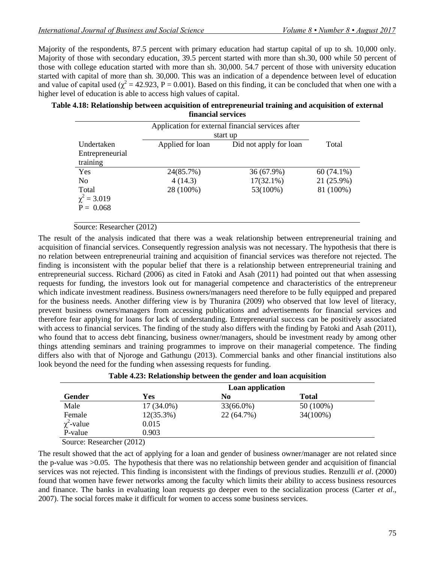Majority of the respondents, 87.5 percent with primary education had startup capital of up to sh. 10,000 only. Majority of those with secondary education, 39.5 percent started with more than sh.30, 000 while 50 percent of those with college education started with more than sh. 30,000. 54.7 percent of those with university education started with capital of more than sh. 30,000. This was an indication of a dependence between level of education and value of capital used ( $\chi^2$  = 42.923, P = 0.001). Based on this finding, it can be concluded that when one with a higher level of education is able to access high values of capital.

**Table 4.18: Relationship between acquisition of entrepreneurial training and acquisition of external financial services**

|                  | Application for external financial services after<br>start up |                        |              |
|------------------|---------------------------------------------------------------|------------------------|--------------|
| Undertaken       | Applied for loan                                              | Did not apply for loan | Total        |
| Entrepreneurial  |                                                               |                        |              |
| training         |                                                               |                        |              |
| Yes              | 24(85.7%)                                                     | 36 (67.9%)             | $60(74.1\%)$ |
| N <sub>0</sub>   | 4(14.3)                                                       | $17(32.1\%)$           | 21 (25.9%)   |
| Total            | 28 (100%)                                                     | 53(100%)               | 81 (100%)    |
| $\chi^2 = 3.019$ |                                                               |                        |              |
| $P = 0.068$      |                                                               |                        |              |
|                  |                                                               |                        |              |

#### Source: Researcher (2012)

The result of the analysis indicated that there was a weak relationship between entrepreneurial training and acquisition of financial services. Consequently regression analysis was not necessary. The hypothesis that there is no relation between entrepreneurial training and acquisition of financial services was therefore not rejected. The finding is inconsistent with the popular belief that there is a relationship between entrepreneurial training and entrepreneurial success. Richard (2006) as cited in Fatoki and Asah (2011) had pointed out that when assessing requests for funding, the investors look out for managerial competence and characteristics of the entrepreneur which indicate investment readiness. Business owners/managers need therefore to be fully equipped and prepared for the business needs. Another differing view is by Thuranira (2009) who observed that low level of literacy, prevent business owners/managers from accessing publications and advertisements for financial services and therefore fear applying for loans for lack of understanding. Entrepreneurial success can be positively associated with access to financial services. The finding of the study also differs with the finding by Fatoki and Asah (2011), who found that to access debt financing, business owner/managers, should be investment ready by among other things attending seminars and training programmes to improve on their managerial competence. The finding differs also with that of Njoroge and Gathungu (2013). Commercial banks and other financial institutions also look beyond the need for the funding when assessing requests for funding.

|                 | Loan application |            |              |  |  |  |
|-----------------|------------------|------------|--------------|--|--|--|
| Gender          | Yes              | No         | <b>Total</b> |  |  |  |
| Male            | $17(34.0\%)$     | 33(66.0%)  | 50 (100%)    |  |  |  |
| Female          | $12(35.3\%)$     | 22 (64.7%) | 34(100%)     |  |  |  |
| $\chi^2$ -value | 0.015            |            |              |  |  |  |
| P-value         | 0.903            |            |              |  |  |  |

**Table 4.23: Relationship between the gender and loan acquisition**

Source: Researcher (2012)

The result showed that the act of applying for a loan and gender of business owner/manager are not related since the p-value was >0.05. The hypothesis that there was no relationship between gender and acquisition of financial services was not rejected. This finding is inconsistent with the findings of previous studies. Renzulli *et al*. (2000) found that women have fewer networks among the faculty which limits their ability to access business resources and finance. The banks in evaluating loan requests go deeper even to the socialization process (Carter *et al*., 2007). The social forces make it difficult for women to access some business services.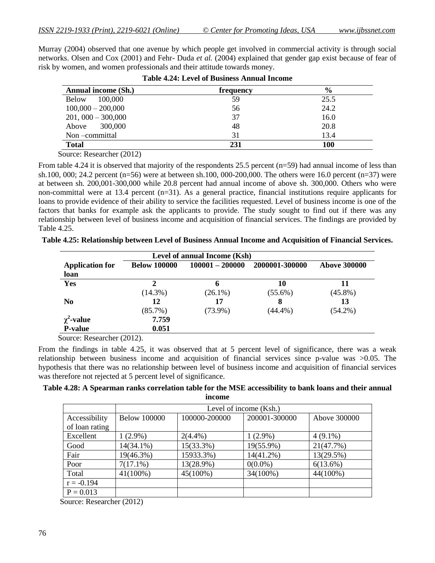Murray (2004) observed that one avenue by which people get involved in commercial activity is through social networks. Olsen and Cox (2001) and Fehr- Duda *et al.* (2004) explained that gender gap exist because of fear of risk by women, and women professionals and their attitude towards money.

| Annual income (Sh.)     | frequency | $\frac{6}{9}$ |
|-------------------------|-----------|---------------|
| <b>Below</b><br>100,000 | 59        | 25.5          |
| $100,000 - 200,000$     | 56        | 24.2          |
| $201,000 - 300,000$     | 37        | 16.0          |
| Above 300,000           | 48        | 20.8          |
| Non-committal           | 31        | 13.4          |
| <b>Total</b>            | 231       | <b>100</b>    |

**Table 4.24: Level of Business Annual Income**

Source: Researcher (2012)

From table 4.24 it is observed that majority of the respondents 25.5 percent  $(n=59)$  had annual income of less than sh.100, 000; 24.2 percent (n=56) were at between sh.100, 000-200,000. The others were 16.0 percent (n=37) were at between sh. 200,001-300,000 while 20.8 percent had annual income of above sh. 300,000. Others who were non-committal were at 13.4 percent (n=31). As a general practice, financial institutions require applicants for loans to provide evidence of their ability to service the facilities requested. Level of business income is one of the factors that banks for example ask the applicants to provide. The study sought to find out if there was any relationship between level of business income and acquisition of financial services. The findings are provided by Table 4.25.

|  | Table 4.25: Relationship between Level of Business Annual Income and Acquisition of Financial Services. |  |  |  |  |  |
|--|---------------------------------------------------------------------------------------------------------|--|--|--|--|--|
|  |                                                                                                         |  |  |  |  |  |

| Level of annual Income (Ksh)      |                     |                   |                  |                     |  |  |  |
|-----------------------------------|---------------------|-------------------|------------------|---------------------|--|--|--|
| <b>Application for</b><br>loan    | <b>Below 100000</b> | $100001 - 200000$ | 2000001-300000   | <b>Above 300000</b> |  |  |  |
| Yes                               | 2<br>$(14.3\%)$     | 6<br>$(26.1\%)$   | 10<br>$(55.6\%)$ | 11<br>$(45.8\%)$    |  |  |  |
| N <sub>0</sub>                    | 12<br>$(85.7\%)$    | 17<br>$(73.9\%)$  | 8<br>$(44.4\%)$  | 13<br>$(54.2\%)$    |  |  |  |
| $\chi^2$ -value<br><b>P-value</b> | 7.759<br>0.051      |                   |                  |                     |  |  |  |

Source: Researcher (2012).

From the findings in table 4.25, it was observed that at 5 percent level of significance, there was a weak relationship between business income and acquisition of financial services since p-value was >0.05. The hypothesis that there was no relationship between level of business income and acquisition of financial services was therefore not rejected at 5 percent level of significance.

**Table 4.28: A Spearman ranks correlation table for the MSE accessibility to bank loans and their annual income**

|                | Level of income (Ksh.) |               |               |              |  |  |  |  |
|----------------|------------------------|---------------|---------------|--------------|--|--|--|--|
| Accessibility  | <b>Below 100000</b>    | 100000-200000 | 200001-300000 | Above 300000 |  |  |  |  |
| of loan rating |                        |               |               |              |  |  |  |  |
| Excellent      | $1(2.9\%)$             | $2(4.4\%)$    | $1(2.9\%)$    | $4(9.1\%)$   |  |  |  |  |
| Good           | $14(34.1\%)$           | 15(33.3%)     | 19(55.9%)     | 21(47.7%)    |  |  |  |  |
| Fair           | 19(46.3%)              | 15933.3%)     | $14(41.2\%)$  | 13(29.5%)    |  |  |  |  |
| Poor           | $7(17.1\%)$            | 13(28.9%)     | $0(0.0\%)$    | 6(13.6%)     |  |  |  |  |
| Total          | $41(100\%)$            | 45(100%)      | 34(100%)      | 44(100%)     |  |  |  |  |
| $r = -0.194$   |                        |               |               |              |  |  |  |  |
| $P = 0.013$    |                        |               |               |              |  |  |  |  |

Source: Researcher (2012)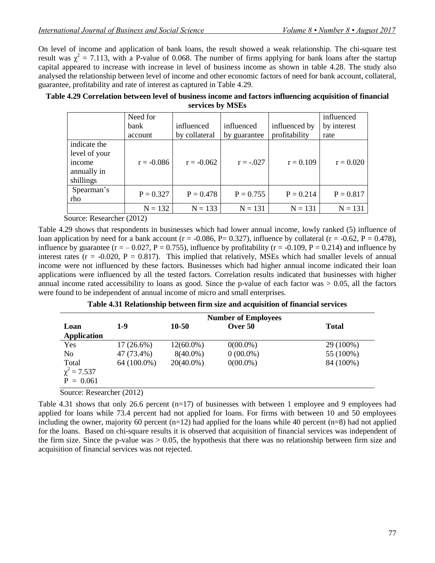On level of income and application of bank loans, the result showed a weak relationship. The chi-square test result was  $\chi^2 = 7.113$ , with a P-value of 0.068. The number of firms applying for bank loans after the startup capital appeared to increase with increase in level of business income as shown in table 4.28. The study also analysed the relationship between level of income and other economic factors of need for bank account, collateral, guarantee, profitability and rate of interest as captured in Table 4.29.

#### **Table 4.29 Correlation between level of business income and factors influencing acquisition of financial services by MSEs**

|                                                                     | Need for     |               |              |               | influenced  |
|---------------------------------------------------------------------|--------------|---------------|--------------|---------------|-------------|
|                                                                     | bank         | influenced    | influenced   | influenced by | by interest |
|                                                                     | account      | by collateral | by guarantee | profitability | rate        |
| indicate the<br>level of your<br>income<br>annually in<br>shillings | $r = -0.086$ | $r = -0.062$  | $r = -.027$  | $r = 0.109$   | $r = 0.020$ |
| Spearman's<br>rho                                                   | $P = 0.327$  | $P = 0.478$   | $P = 0.755$  | $P = 0.214$   | $P = 0.817$ |
|                                                                     | $N = 132$    | $N = 133$     | $N = 131$    | $N = 131$     | $N = 131$   |

Source: Researcher (2012)

Table 4.29 shows that respondents in businesses which had lower annual income, lowly ranked (5) influence of loan application by need for a bank account ( $r = -0.086$ ,  $P = 0.327$ ), influence by collateral ( $r = -0.62$ ,  $P = 0.478$ ), influence by guarantee ( $r = -0.027$ ,  $P = 0.755$ ), influence by profitability ( $r = -0.109$ ,  $P = 0.214$ ) and influence by interest rates ( $r = -0.020$ ,  $P = 0.817$ ). This implied that relatively, MSEs which had smaller levels of annual income were not influenced by these factors. Businesses which had higher annual income indicated their loan applications were influenced by all the tested factors. Correlation results indicated that businesses with higher annual income rated accessibility to loans as good. Since the p-value of each factor was  $> 0.05$ , all the factors were found to be independent of annual income of micro and small enterprises.

| Table 4.31 Relationship between firm size and acquisition of financial services |  |  |  |
|---------------------------------------------------------------------------------|--|--|--|
|                                                                                 |  |  |  |

|                  | <b>Number of Employees</b> |              |             |              |
|------------------|----------------------------|--------------|-------------|--------------|
| Loan             | $1-9$                      | 10-50        | Over 50     | <b>Total</b> |
| Application      |                            |              |             |              |
| Yes              | $17(26.6\%)$               | $12(60.0\%)$ | $0(00.0\%)$ | 29 (100%)    |
| N <sub>0</sub>   | 47 (73.4%)                 | $8(40.0\%)$  | $0(00.0\%)$ | 55 (100%)    |
| Total            | 64 (100.0%)                | $20(40.0\%)$ | $0(00.0\%)$ | 84 (100%)    |
| $\chi^2 = 7.537$ |                            |              |             |              |
| $P = 0.061$      |                            |              |             |              |

Source: Researcher (2012)

Table 4.31 shows that only 26.6 percent (n=17) of businesses with between 1 employee and 9 employees had applied for loans while 73.4 percent had not applied for loans. For firms with between 10 and 50 employees including the owner, majority 60 percent  $(n=12)$  had applied for the loans while 40 percent  $(n=8)$  had not applied for the loans. Based on chi-square results it is observed that acquisition of financial services was independent of the firm size. Since the p-value was  $> 0.05$ , the hypothesis that there was no relationship between firm size and acquisition of financial services was not rejected.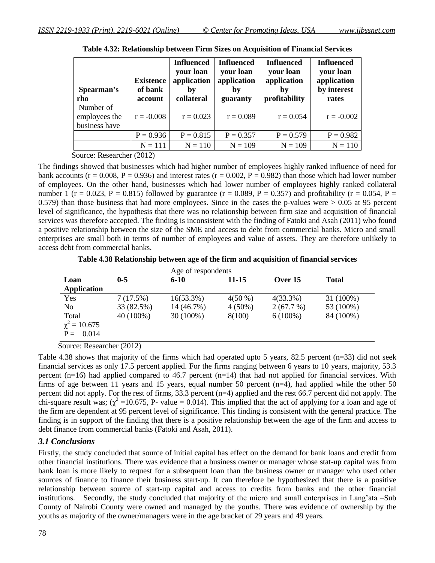| Spearman's<br>rho                           | <b>Existence</b><br>of bank<br>account | <b>Influenced</b><br>your loan<br>application<br>bv<br>collateral | <b>Influenced</b><br>your loan<br>application<br>by<br>guaranty | <b>Influenced</b><br>your loan<br>application<br>by<br>profitability | <b>Influenced</b><br>your loan<br>application<br>by interest<br>rates |
|---------------------------------------------|----------------------------------------|-------------------------------------------------------------------|-----------------------------------------------------------------|----------------------------------------------------------------------|-----------------------------------------------------------------------|
| Number of<br>employees the<br>business have | $r = -0.008$                           | $r = 0.023$                                                       | $r = 0.089$                                                     | $r = 0.054$                                                          | $r = -0.002$                                                          |
|                                             | $P = 0.936$                            | $P = 0.815$                                                       | $P = 0.357$                                                     | $P = 0.579$                                                          | $P = 0.982$                                                           |
|                                             | $N = 111$                              | $N = 110$                                                         | $N = 109$                                                       | $N = 109$                                                            | $N = 110$                                                             |

**Table 4.32: Relationship between Firm Sizes on Acquisition of Financial Services**

Source: Researcher (2012)

The findings showed that businesses which had higher number of employees highly ranked influence of need for bank accounts ( $r = 0.008$ ,  $P = 0.936$ ) and interest rates ( $r = 0.002$ ,  $P = 0.982$ ) than those which had lower number of employees. On the other hand, businesses which had lower number of employees highly ranked collateral number 1 (r = 0.023, P = 0.815) followed by guarantee (r = 0.089, P = 0.357) and profitability (r = 0.054, P = 0.579) than those business that had more employees. Since in the cases the p-values were > 0.05 at 95 percent level of significance, the hypothesis that there was no relationship between firm size and acquisition of financial services was therefore accepted. The finding is inconsistent with the finding of Fatoki and Asah (2011) who found a positive relationship between the size of the SME and access to debt from commercial banks. Micro and small enterprises are small both in terms of number of employees and value of assets. They are therefore unlikely to access debt from commercial banks.

**Table 4.38 Relationship between age of the firm and acquisition of financial services**

|                                           |            | Age of respondents |           |             |              |  |
|-------------------------------------------|------------|--------------------|-----------|-------------|--------------|--|
| Loan                                      | $0 - 5$    | $6 - 10$           | 11-15     | Over 15     | <b>Total</b> |  |
| <b>Application</b>                        |            |                    |           |             |              |  |
| Yes                                       | 7(17.5%)   | $16(53.3\%)$       | $4(50\%)$ | $4(33.3\%)$ | 31 (100%)    |  |
| N <sub>0</sub>                            | 33 (82.5%) | 14 (46.7%)         | $4(50\%)$ | 2(67.7%)    | 53 (100%)    |  |
| Total<br>$\chi^2 = 10.675$<br>$P = 0.014$ | 40 (100%)  | 30 (100%)          | 8(100)    | $6(100\%)$  | 84 (100%)    |  |

Source: Researcher (2012)

Table 4.38 shows that majority of the firms which had operated upto 5 years, 82.5 percent (n=33) did not seek financial services as only 17.5 percent applied. For the firms ranging between 6 years to 10 years, majority, 53.3 percent (n=16) had applied compared to 46.7 percent (n=14) that had not applied for financial services. With firms of age between 11 years and 15 years, equal number 50 percent (n=4), had applied while the other 50 percent did not apply. For the rest of firms, 33.3 percent (n=4) applied and the rest 66.7 percent did not apply. The chi-square result was;  $\chi^2$  =10.675, P- value = 0.014). This implied that the act of applying for a loan and age of the firm are dependent at 95 percent level of significance. This finding is consistent with the general practice. The finding is in support of the finding that there is a positive relationship between the age of the firm and access to debt finance from commercial banks (Fatoki and Asah, 2011).

## *3.1 Conclusions*

Firstly, the study concluded that source of initial capital has effect on the demand for bank loans and credit from other financial institutions. There was evidence that a business owner or manager whose stat-up capital was from bank loan is more likely to request for a subsequent loan than the business owner or manager who used other sources of finance to finance their business start-up. It can therefore be hypothesized that there is a positive relationship between source of start-up capital and access to credits from banks and the other financial institutions. Secondly, the study concluded that majority of the micro and small enterprises in Lang'ata –Sub County of Nairobi County were owned and managed by the youths. There was evidence of ownership by the youths as majority of the owner/managers were in the age bracket of 29 years and 49 years.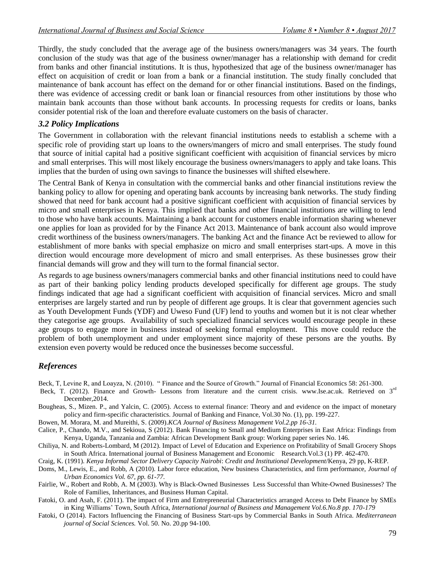Thirdly, the study concluded that the average age of the business owners/managers was 34 years. The fourth conclusion of the study was that age of the business owner/manager has a relationship with demand for credit from banks and other financial institutions. It is thus, hypothesized that age of the business owner/manager has effect on acquisition of credit or loan from a bank or a financial institution. The study finally concluded that maintenance of bank account has effect on the demand for or other financial institutions. Based on the findings, there was evidence of accessing credit or bank loan or financial resources from other institutions by those who maintain bank accounts than those without bank accounts. In processing requests for credits or loans, banks consider potential risk of the loan and therefore evaluate customers on the basis of character.

## *3.2 Policy Implications*

The Government in collaboration with the relevant financial institutions needs to establish a scheme with a specific role of providing start up loans to the owners/mangers of micro and small enterprises. The study found that source of initial capital had a positive significant coefficient with acquisition of financial services by micro and small enterprises. This will most likely encourage the business owners/managers to apply and take loans. This implies that the burden of using own savings to finance the businesses will shifted elsewhere.

The Central Bank of Kenya in consultation with the commercial banks and other financial institutions review the banking policy to allow for opening and operating bank accounts by increasing bank networks. The study finding showed that need for bank account had a positive significant coefficient with acquisition of financial services by micro and small enterprises in Kenya. This implied that banks and other financial institutions are willing to lend to those who have bank accounts. Maintaining a bank account for customers enable information sharing whenever one applies for loan as provided for by the Finance Act 2013. Maintenance of bank account also would improve credit worthiness of the business owners/managers. The banking Act and the finance Act be reviewed to allow for establishment of more banks with special emphasize on micro and small enterprises start-ups. A move in this direction would encourage more development of micro and small enterprises. As these businesses grow their financial demands will grow and they will turn to the formal financial sector.

As regards to age business owners/managers commercial banks and other financial institutions need to could have as part of their banking policy lending products developed specifically for different age groups. The study findings indicated that age had a significant coefficient with acquisition of financial services. Micro and small enterprises are largely started and run by people of different age groups. It is clear that government agencies such as Youth Development Funds (YDF) and Uweso Fund (UF) lend to youths and women but it is not clear whether they categorise age groups. Availability of such specialized financial services would encourage people in these age groups to engage more in business instead of seeking formal employment. This move could reduce the problem of both unemployment and under employment since majority of these persons are the youths. By extension even poverty would be reduced once the businesses become successful.

## *References*

Beck, T, Levine R, and Loayza, N. (2010). " Finance and the Source of Growth." Journal of Financial Economics 58: 261-300.

- Beck, T. (2012). Finance and Growth- Lessons from literature and the current crisis. [www.Ise.ac.uk.](http://www.ise.ac.uk/) Retrieved on 3<sup>rd</sup> December,2014.
- Bougheas, S., Mizen. P., and Yalcin, C. (2005). Access to external finance: Theory and and evidence on the impact of monetary policy and firm-specific characteristics. Journal of Banking and Finance, Vol.30 No. (1), pp. 199-227.
- Bowen, M. Morara, M. and Mureithi, S. (2009).*KCA Journal of Business Management Vol.2.pp 16-31.*
- Calice, P., Chando, M.V., and Sekioua, S (2012). Bank Financing to Small and Medium Enterprises in East Africa: Findings from Kenya, Uganda, Tanzania and Zambia: African Development Bank group: Working paper series No. 146.
- Chiliya, N. and Roberts-Lombard, M (2012). Impact of Level of Education and Experience on Profitability of Small Grocery Shops in South Africa. International journal of Business Management and Economic Research.Vol.3 (1) PP. 462-470.

Craig, K. (1991). *Kenya Informal Sector Delivery Capacity Nairobi*: *Credit and Institutional Development*/Kenya, 29 pp, K-REP.

- Doms, M., Lewis, E., and Robb, A (2010). Labor force education, New business Characteristics, and firm performance, *Journal of Urban Economics Vol. 67, pp. 61-77.*
- Fairlie, W., Robert and Robb, A. M (2003). Why is Black-Owned Businesses Less Successful than White-Owned Businesses? The Role of Families, Inheritances, and Business Human Capital.
- Fatoki, O. and Asah, F. (2011). The impact of Firm and Entrepreneurial Characteristics arranged Access to Debt Finance by SMEs in King Williams' Town, South Africa, *International journal of Business and Management Vol.6.No.8 pp. 170-179*
- Fatoki, O (2014). Factors Influencing the Financing of Business Start-ups by Commercial Banks in South Africa. *Mediterranean journal of Social Sciences.* Vol. 50. No. 20.pp 94-100.